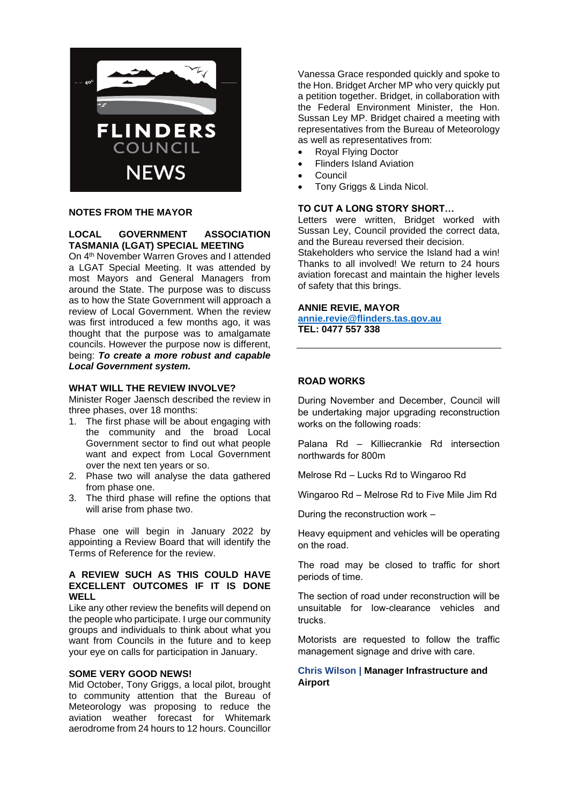

### **NOTES FROM THE MAYOR**

#### **LOCAL GOVERNMENT ASSOCIATION TASMANIA (LGAT) SPECIAL MEETING**

On 4th November Warren Groves and I attended a LGAT Special Meeting. It was attended by most Mayors and General Managers from around the State. The purpose was to discuss as to how the State Government will approach a review of Local Government. When the review was first introduced a few months ago, it was thought that the purpose was to amalgamate councils. However the purpose now is different, being: *To create a more robust and capable Local Government system.*

#### **WHAT WILL THE REVIEW INVOLVE?**

Minister Roger Jaensch described the review in three phases, over 18 months:

- 1. The first phase will be about engaging with the community and the broad Local Government sector to find out what people want and expect from Local Government over the next ten years or so.
- 2. Phase two will analyse the data gathered from phase one.
- 3. The third phase will refine the options that will arise from phase two.

Phase one will begin in January 2022 by appointing a Review Board that will identify the Terms of Reference for the review.

### **A REVIEW SUCH AS THIS COULD HAVE EXCELLENT OUTCOMES IF IT IS DONE WELL**

Like any other review the benefits will depend on the people who participate. I urge our community groups and individuals to think about what you want from Councils in the future and to keep your eye on calls for participation in January.

### **SOME VERY GOOD NEWS!**

Mid October, Tony Griggs, a local pilot, brought to community attention that the Bureau of Meteorology was proposing to reduce the aviation weather forecast for Whitemark aerodrome from 24 hours to 12 hours. Councillor

Vanessa Grace responded quickly and spoke to the Hon. Bridget Archer MP who very quickly put a petition together. Bridget, in collaboration with the Federal Environment Minister, the Hon. Sussan Ley MP. Bridget chaired a meeting with representatives from the Bureau of Meteorology as well as representatives from:

- Royal Flying Doctor
- Flinders Island Aviation
- Council
- Tony Griggs & Linda Nicol.

#### **TO CUT A LONG STORY SHORT…**

Letters were written, Bridget worked with Sussan Ley, Council provided the correct data, and the Bureau reversed their decision.

Stakeholders who service the Island had a win! Thanks to all involved! We return to 24 hours aviation forecast and maintain the higher levels of safety that this brings.

#### **ANNIE REVIE, MAYOR**

**[annie.revie@flinders.tas.gov.au](mailto:annie.revie@flinders.tas.gov.au) TEL: 0477 557 338**

### **ROAD WORKS**

During November and December, Council will be undertaking major upgrading reconstruction works on the following roads:

Palana Rd – Killiecrankie Rd intersection northwards for 800m

Melrose Rd – Lucks Rd to Wingaroo Rd

Wingaroo Rd – Melrose Rd to Five Mile Jim Rd

During the reconstruction work –

Heavy equipment and vehicles will be operating on the road.

The road may be closed to traffic for short periods of time.

The section of road under reconstruction will be unsuitable for low-clearance vehicles and trucks.

Motorists are requested to follow the traffic management signage and drive with care.

### **Chris Wilson | Manager Infrastructure and Airport**